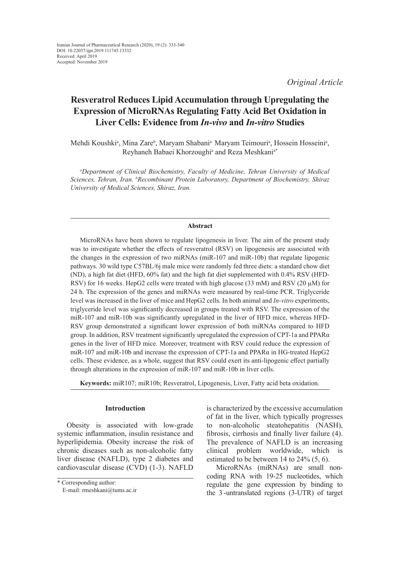*Original Article*

# **Resveratrol Reduces Lipid Accumulation through Upregulating the Expression of MicroRNAs Regulating Fatty Acid Bet Oxidation in Liver Cells: Evidence from** *In-vivo* **and** *In-vitro* **Studies**

Mehdi Koushki<sup>a</sup>, Mina Zare<sup>b</sup>, Maryam Shabani<sup>a</sup> Maryam Teimouri<sup>a</sup>, Hossein Hosseini<sup>a</sup>, Reyhaneh Babaei Khorzoughi<sup>a</sup> and Reza Meshkani<sup>a\*</sup>

*a Department of Clinical Biochemistry, Faculty of Medicine, Tehran University of Medical Sciences, Tehran, Iran. b Recombinant Protein Laboratory, Department of Biochemistry, Shiraz University of Medical Sciences, Shiraz, Iran.*

## **Abstract**

MicroRNAs have been shown to regulate lipogenesis in liver. The aim of the present study was to investigate whether the effects of resveratrol (RSV) on lipogenesis are associated with the changes in the expression of two miRNAs (miR-107 and miR-10b) that regulate lipogenic pathways. 30 wild type C57BL/6j male mice were randomly fed three diets: a standard chow diet (ND), a high fat diet (HFD, 60% fat) and the high fat diet supplemented with 0.4% RSV (HFD-RSV) for 16 weeks. HepG2 cells were treated with high glucose (33 mM) and RSV (20 µM) for 24 h. The expression of the genes and miRNAs were measured by real-time PCR. Triglyceride level was increased in the liver of mice and HepG2 cells. In both animal and *In-vitro* experiments, triglyceride level was significantly decreased in groups treated with RSV. The expression of the miR-107 and miR-10b was significantly upregulated in the liver of HFD mice, whereas HFD-RSV group demonstrated a significant lower expression of both miRNAs compared to HFD group. In addition, RSV treatment significantly upregulated the expression of CPT-1a and PPAR $\alpha$ genes in the liver of HFD mice. Moreover, treatment with RSV could reduce the expression of miR-107 and miR-10b and increase the expression of CPT-1a and PPAR $\alpha$  in HG-treated HepG2 cells. These evidence, as a whole, suggest that RSV could exert its anti-lipogenic effect partially through alterations in the expression of miR-107 and miR-10b in liver cells.

**Keywords:** miR107; miR10b; Resveratrol, Lipogenesis, Liver, Fatty acid beta oxidation.

# **Introduction**

Obesity is associated with low-grade systemic inflammation, insulin resistance and hyperlipidemia. Obesity increase the risk of chronic diseases such as non-alcoholic fatty liver disease (NAFLD), type 2 diabetes and cardiovascular disease (CVD) (1-3). NAFLD

is characterized by the excessive accumulation of fat in the liver, which typically progresses to non-alcoholic steatohepatitis (NASH), fibrosis, cirrhosis and finally liver failure (4). The prevalence of NAFLD is an increasing clinical problem worldwide, which estimated to be between 14 to 24% (5, 6).

MicroRNAs (miRNAs) are small noncoding RNA with 19-25 nucleotides, which regulate the gene expression by binding to the 3´ -untranslated regions (3-UTR) of target

<sup>\*</sup> Corresponding author:

E-mail: [rmeshkani@tums.ac.ir](mailto:rmeshkani@tums.ac.ir)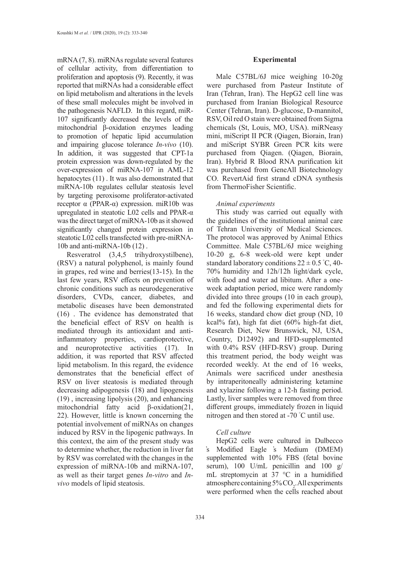mRNA (7, 8). miRNAs regulate several features of cellular activity, from differentiation to proliferation and apoptosis (9). Recently, it was reported that miRNAs had a considerable effect on lipid metabolism and alterations in the levels of these small molecules might be involved in the pathogenesis NAFLD. In this regard, miR-107 significantly decreased the levels of the mitochondrial β-oxidation enzymes leading to promotion of hepatic lipid accumulation and impairing glucose tolerance *In-vivo* (10). In addition, it was suggested that CPT-1a protein expression was down-regulated by the over-expression of miRNA-107 in AML-12 hepatocytes (11) . It was also demonstrated that miRNA-10b regulates cellular steatosis level by targeting peroxisome proliferator-activated receptor α (PPAR-α) expression. miR10b was upregulated in steatotic L02 cells and PPAR-α was the direct target of miRNA-10b as it showed significantly changed protein expression in steatotic L02 cells transfected with pre-miRNA-10b and anti-miRNA-10b (12) .

Resveratrol (3,4,5 trihydroxystilbene), (RSV) a natural polyphenol, is mainly found in grapes, red wine and berries(13-15). In the last few years, RSV effects on prevention of chronic conditions such as neurodegenerative disorders, CVDs, cancer, diabetes, and metabolic diseases have been demonstrated (16) . The evidence has demonstrated that the beneficial effect of RSV on health is mediated through its antioxidant and antiinflammatory properties, cardioprotective, and neuroprotective activities (17). In addition, it was reported that RSV affected lipid metabolism. In this regard, the evidence demonstrates that the beneficial effect of RSV on liver steatosis is mediated through decreasing adipogenesis (18) and lipogenesis (19) , increasing lipolysis (20), and enhancing mitochondrial fatty acid β-oxidation(21, 22). However, little is known concerning the potential involvement of miRNAs on changes induced by RSV in the lipogenic pathways. In this context, the aim of the present study was to determine whether, the reduction in liver fat by RSV was correlated with the changes in the expression of miRNA-10b and miRNA-107, as well as their target genes *In-vitro* and *Invivo* models of lipid steatosis.

## **Experimental**

Male C57BL/6J mice weighing 10-20g were purchased from Pasteur Institute of Iran (Tehran, Iran). The HepG2 cell line was purchased from Iranian Biological Resource Center (Tehran, Iran). D-glucose, D-mannitol, RSV, Oil red O stain were obtained from Sigma chemicals (St, Louis, MO, USA). miRNeasy mini, miScript II PCR (Qiagen, Biorain, Iran) and miScript SYBR Green PCR kits were purchased from Qiagen. (Qiagen, Biorain, Iran). Hybrid R Blood RNA purification kit was purchased from GeneAll Biotechnology CO. RevertAid first strand cDNA synthesis from ThermoFisher Scientific.

# *Animal experiments*

This study was carried out equally with the guidelines of the institutional animal care of Tehran University of Medical Sciences. The protocol was approved by Animal Ethics Committee. Male C57BL/6J mice weighing 10-20 g, 6-8 week-old were kept under standard laboratory conditions  $22 \pm 0.5$  °C, 40-70% humidity and 12h/12h light/dark cycle, with food and water ad libitum. After a oneweek adaptation period, mice were randomly divided into three groups (10 in each group), and fed the following experimental diets for 16 weeks, standard chow diet group (ND, 10 kcal% fat), high fat diet (60% high-fat diet, Research Diet, New Brunswick, NJ, USA, Country, D12492) and HFD-supplemented with 0.4% RSV (HFD-RSV) group. During this treatment period, the body weight was recorded weekly. At the end of 16 weeks, Animals were sacrificed under anesthesia by intraperitoneally administering ketamine and xylazine following a 12-h fasting period. Lastly, liver samples were removed from three different groups, immediately frozen in liquid nitrogen and then stored at -70 ° C until use.

# *Cell culture*

HepG2 cells were cultured in Dulbecco ̓s Modified Eagle ̓s Medium (DMEM) supplemented with 10% FBS (fetal bovine serum), 100 U/mL penicillin and 100 g/ mL streptomycin at 37 °C in a humidified atmosphere containing  $5\%$  CO<sub>2</sub>. All experiments were performed when the cells reached about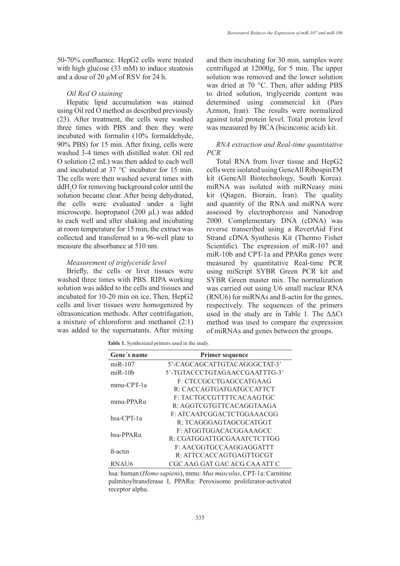50-70% confluence. HepG2 cells were treated with high glucose (33 mM) to induce steatosis and a dose of 20 µM of RSV for 24 h.

## *Oil Red O staining*

Hepatic lipid accumulation was stained using Oil red O method as described previously (23). After treatment, the cells were washed three times with PBS and then they were incubated with formalin (10% formaldehyde, 90% PBS) for 15 min. After fixing, cells were washed 3-4 times with distilled water. Oil red O solution (2 mL) was then added to each well and incubated at 37 °C incubator for 15 min. The cells were then washed several times with ddH<sup>2</sup> O for removing background color until the solution became clear. After being dehydrated, the cells were evaluated under a light microscope. Isopropanol (200 µL) was added to each well and after shaking and incubating at room temperature for 15 min, the extract was collected and transferred to a 96-well plate to measure the absorbance at 510 nm.

# *Measurement of triglyceride level*

Briefly, the cells or liver tissues were washed three times with PBS. RIPA working solution was added to the cells and tissues and incubated for 10-20 min on ice. Then, HepG2 cells and liver tissues were homogenized by oltrasonication methods. After centrifugation, a mixture of chloroform and methanol (2:1) was added to the supernatants. After mixing and then incubating for 30 min, samples were centrifuged at 12000g, for 5 min. The upper solution was removed and the lower solution was dried at 70 °C. Then, after adding PBS to dried solution, triglyceride content was determined using commercial kit (Pars Azmon, Iran). The results were normalized against total protein level. Total protein level was measured by BCA (bicinconic acid) kit.

# *RNA extraction and Real-time quantitative PCR*

Total RNA from liver tissue and HepG2 cells were isolated using GeneAll RibospinTM kit (GeneAll Biotechnology, South Korea). miRNA was isolated with miRNeasy mini kit (Qiagen, Biorain, Iran). The quality and quantity of the RNA and miRNA were assessed by electrophoresis and Nanodrop 2000. Complementary DNA (cDNA) was reverse transcribed using a RevertAid First Strand cDNA Synthesis Kit (Thermo Fisher Scientific). The expression of miR-107 and miR-10b and CPT-1a and PPARα genes were measured by quantitative Real-time PCR using miScript SYBR Green PCR kit and SYBR Green master mix. The normalization was carried out using U6 small nuclear RNA (RNU6) for miRNAs and ß-actin for the genes, respectively. The sequences of the primers used in the study are in Table 1. The ΔΔCt method was used to compare the expression of miRNAs and genes between the groups.

**Table 1.** Synthesized primers used in the study.

| Gene's name       | <b>Primer sequence</b>            |
|-------------------|-----------------------------------|
| $miR-107$         | 5'-CAGCAGCATTGTACAGGGCTAT-3'      |
| $m$ iR-10 $h$     | 5'-TGTACCCTGTAGAACCGAATTTG-3'     |
| $mmu$ -CPT-1a     | F: CTCCGCCTGAGCCATGAAG            |
|                   | R: CACCAGTGATGATGCCATTCT          |
| $mmu-PPAR\alpha$  | F: TACTGCCGTTTTCACAAGTGC          |
|                   | $R \cdot A GGTCGTGTTTCACAGGTAAGA$ |
| hsa-CPT-1a        | F: ATCA ATCGGACTCTGGA A A CGG     |
|                   | R: TCAGGGAGTAGCGCATGGT            |
| hsa-PPAR $\alpha$ | F: ATGGTGGACACGGAAAGCC            |
|                   | R: CGATGGATTGCGAAATCTCTTGG        |
| <b>B</b> -actin   | F: AACGGTGCCAAGGAGGATTT           |
|                   | R: ATTCCACCAGTGAGTTGCGT           |
| RNAU6             | CGC AAG GAT GAC ACG CAA ATT C     |

hsa: human (*Homo sapiens*), mmu: *Mus musculus*, CPT-1a: Carnitine palmitoyltransferase I, PPARα: Peroxisome proliferator-activated receptor alpha.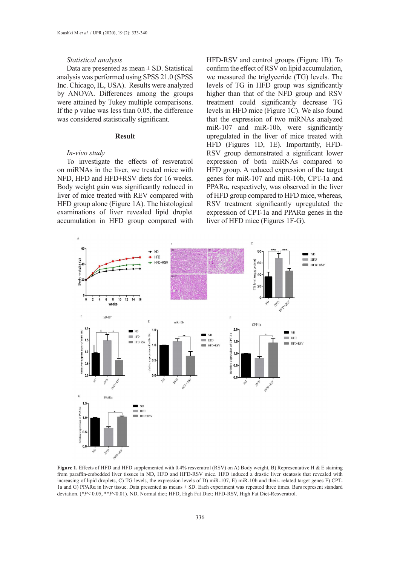## *Statistical analysis*

Data are presented as mean  $\pm$  SD. Statistical analysis was performed using SPSS 21.0 (SPSS Inc. Chicago, IL, USA). Results were analyzed by ANOVA. Differences among the groups were attained by Tukey multiple comparisons. If the p value was less than 0.05, the difference was considered statistically significant.

## **Result**

## *In-vivo study*

To investigate the effects of resveratrol on miRNAs in the liver, we treated mice with NFD, HFD and HFD+RSV diets for 16 weeks. Body weight gain was significantly reduced in liver of mice treated with REV compared with HFD group alone (Figure 1A). The histological examinations of liver revealed lipid droplet accumulation in HFD group compared with HFD-RSV and control groups (Figure 1B). To confirm the effect of RSV on lipid accumulation, we measured the triglyceride (TG) levels. The levels of TG in HFD group was significantly higher than that of the NFD group and RSV treatment could significantly decrease TG levels in HFD mice (Figure 1C). We also found that the expression of two miRNAs analyzed miR-107 and miR-10b, were significantly upregulated in the liver of mice treated with HFD (Figures 1D, 1E). Importantly, HFD-RSV group demonstrated a significant lower expression of both miRNAs compared to HFD group. A reduced expression of the target genes for miR-107 and miR-10b, CPT-1a and PPARα, respectively, was observed in the liver of HFD group compared to HFD mice, whereas, RSV treatment significantly upregulated the expression of CPT-1a and PPARα genes in the liver of HFD mice (Figures 1F-G).



**Figure 1.** Effects of HFD and HFD supplemented with 0.4% resveratrol (RSV) on A) Body weight, B) Representative H & E staining from paraffin-embedded liver tissues in ND, HFD and HFD-RSV mice. HFD induced a drastic liver steatosis that revealed with increasing of lipid droplets, C) TG levels, the expression levels of D) miR-107, E) miR-10b and their- related target genes F) CPT-1a and G) PPAR $\alpha$  in liver tissue. Data presented as means  $\pm$  SD. Each experiment was repeated three times. Bars represent standard deviation. (\**P*< 0.05, \*\**P*<0.01). ND, Normal diet; HFD, High Fat Diet; HFD-RSV, High Fat Diet-Resveratrol.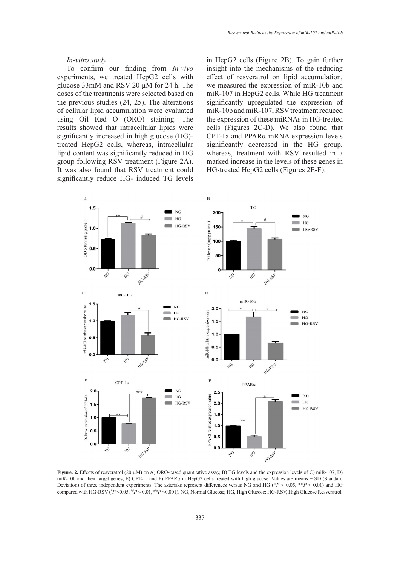## *In-vitro study*

To confirm our finding from *In-vivo* experiments, we treated HepG2 cells with glucose 33mM and RSV 20 µM for 24 h. The doses of the treatments were selected based on the previous studies (24, 25). The alterations of cellular lipid accumulation were evaluated using Oil Red O (ORO) staining. The results showed that intracellular lipids were significantly increased in high glucose (HG) treated HepG2 cells, whereas, intracellular lipid content was significantly reduced in HG group following RSV treatment (Figure 2A). It was also found that RSV treatment could significantly reduce HG- induced TG levels in HepG2 cells (Figure 2B). To gain further insight into the mechanisms of the reducing effect of resveratrol on lipid accumulation, we measured the expression of miR-10b and miR-107 in HepG2 cells. While HG treatment significantly upregulated the expression of miR-10b and miR-107, RSV treatment reduced the expression of these miRNAs in HG-treated cells (Figures 2C-D). We also found that CPT-1a and PPARα mRNA expression levels significantly decreased in the HG group, whereas, treatment with RSV resulted in a marked increase in the levels of these genes in HG-treated HepG2 cells (Figures 2E-F).



**Figure. 2.** Effects of resveratrol (20 µM) on A) ORO-based quantitative assay, B) TG levels and the expression levels of C) miR-107, D) miR-10b and their target genes, E) CPT-1a and F) PPARα in HepG2 cells treated with high glucose. Values are means ± SD (Standard Deviation) of three independent experiments. The asterisks represent differences versus NG and HG (\**P* < 0.05, \*\**P* < 0.01) and HG compared with HG-RSV ( $^{#}P$  <0.05,  $^{#}P$  < 0.01,  $^{#}P$  <0.001). NG, Normal Glucose; HG, High Glucose; HG-RSV, High Glucose Resveratrol.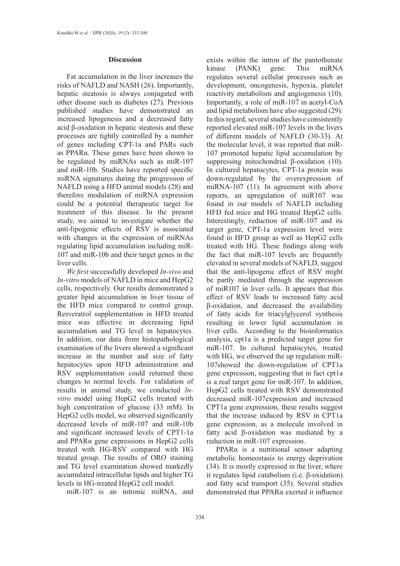#### **Discussion**

Fat accumulation in the liver increases the risks of NAFLD and NASH (26). Importantly, hepatic steatosis is always conjugated with other disease such as diabetes (27). Previous published studies have demonstrated an increased lipogenesis and a decreased fatty acid β-oxidation in hepatic steatosis and these processes are tightly controlled by a number of genes including CPT-1a and PARs such as PPARα. These genes have been shown to be regulated by miRNAs such as miR-107 and miR-10b. Studies have reported specific miRNA signatures during the progression of NAFLD using a [HFD](https://www.sciencedirect.com/topics/biochemistry-genetics-and-molecular-biology/lipid-diet) [animal model](https://www.sciencedirect.com/topics/biochemistry-genetics-and-molecular-biology/rat-model)s (28) and therefore modulation of miRNA expression could be a potential therapeutic target for treatment of this disease. In the present study, we aimed to investigate whether the anti-lipogenic effects of RSV is associated with changes in the expression of miRNAs regulating lipid accumulation including miR-107 and miR-10b and their target genes in the liver cells.

*We first* successfully developed *In-vivo* and *In-vitro* models of NAFLD in mice and HepG2 cells, respectively. Our results demonstrated a greater lipid accumulation in liver tissue of the HFD mice compared to control group. Resveratrol supplementation in HFD treated mice was effective in decreasing lipid accumulation and TG level in hepatocytes. In addition, our data from histopathological examination of the livers showed a significant increase in the number and size of fatty hepatocytes upon HFD administration and RSV supplementation could returned these changes to normal levels. For validation of results in animal study, we conducted *Invitro* model using HepG2 cells treated with high concentration of glucose (33 mM). In HepG2 cells model, we observed significantly decreased levels of miR-107 and miR-10b and significant increased levels of CPT1-1a and PPARα gene expressions in HepG2 cells treated with HG-RSV compared with HG treated group. The results of ORO staining and TG level examination showed markedly accumulated intracellular lipids and higher TG levels in HG-treated HepG2 cell model.

miR-107 is an intronic miRNA, and

exists within the [intron](https://www.sciencedirect.com/topics/biochemistry-genetics-and-molecular-biology/intron) of the [pantothenate](https://www.sciencedirect.com/topics/biochemistry-genetics-and-molecular-biology/pantothenate-kinase) [kinase](https://www.sciencedirect.com/topics/biochemistry-genetics-and-molecular-biology/pantothenate-kinase) (PANK) gene. This miRNA regulates several cellular processes such as development, oncogenesis, hypoxia, [platelet](https://www.sciencedirect.com/topics/biochemistry-genetics-and-molecular-biology/platelet-reactivity) [reactivity](https://www.sciencedirect.com/topics/biochemistry-genetics-and-molecular-biology/platelet-reactivity) metabolism and [angiogenesis](https://www.sciencedirect.com/topics/biochemistry-genetics-and-molecular-biology/angiogenesis) (10). Importantly, a role of miR-107 in [acetyl-CoA](https://www.sciencedirect.com/topics/biochemistry-genetics-and-molecular-biology/acetyl-coa) and [lipid metabolism](https://www.sciencedirect.com/topics/biochemistry-genetics-and-molecular-biology/lipid-metabolism) have also suggested (29). In this regard, several studies have consistently reported elevated miR-107 levels in the livers of different models of NAFLD (30-33). At the molecular level, it was reported that miR-107 promoted hepatic lipid accumulation by suppressing mitochondrial β-oxidation (10). In cultured hepatocytes, CPT-1a protein was down-regulated by the overexpression of miRNA-107 (11). In agreement with above reports, an upregulation of miR107 was found in our models of NAFLD including HFD fed mice and HG treated HepG2 cells. Interestingly, reduction of miR-107 and its target gene, CPT-1a expression level were found in HFD group as well as HepG2 cells treated with HG. These findings along with the fact that miR-107 levels are frequently elevated in several models of NAFLD, suggest that the anti-lipogenic effect of RSV might be partly mediated through the suppression of miR107 in liver cells. It appears that this effect of RSV leads to increased fatty acid β-oxidation, and decreased the availability of fatty acids for triacylglycerol synthesis resulting in lower lipid accumulation in liver cells. According to the bioinformatics analysis, cpt1a is a predicted target gene for miR-107. In cultured hepatocytes, treated with HG, we observed the up regulation miR-107showed the down-regulation of CPT1a gene expression, suggesting that in fact cpt1a is a real target gene for miR-107. In addition, HepG2 cells treated with RSV demonstrated decreased miR-107expression and increased CPT1a gene expression, these results suggest that the increase induced by RSV in CPT1a gene expression, as a molecule involved in fatty acid β-oxidation was mediated by a reduction in miR-107 expression.

PPARα is a nutritional sensor adapting metabolic homeostasis to energy deprivation (34). It is mostly expressed in the liver, where it regulates lipid catabolism (i.e. β-oxidation) and fatty acid transport (35). Several studies demonstrated that PPARα exerted it influence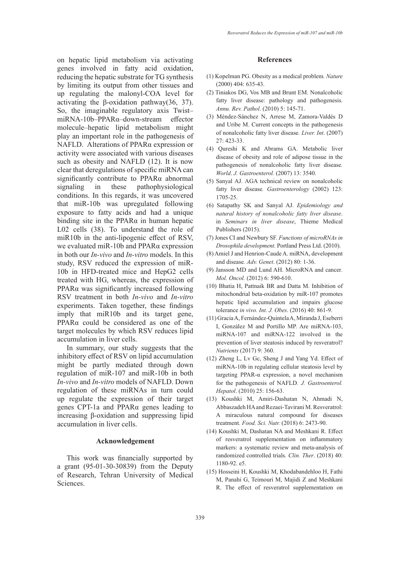on hepatic lipid metabolism via activating genes involved in fatty acid oxidation, reducing the hepatic substrate for TG synthesis by limiting its output from other tissues and up regulating the malonyl-COA level for activating the β-oxidation pathway(36, 37). So, the imaginable regulatory axis Twist– miRNA-10b–PPARα–down-stream effector molecule–hepatic lipid metabolism might play an important role in the pathogenesis of NAFLD. Alterations of PPARα expression or activity were associated with various diseases such as obesity and NAFLD (12). It is now clear that deregulations of specific miRNA can significantly contribute to PPARα abnormal signaling in these pathophysiological conditions. In this regards, it was uncovered that miR-10b was upregulated following exposure to fatty acids and had a unique binding site in the PPARα in human hepatic L02 cells (38). To understand the role of miR10b in the anti-lipogenic effect of RSV, we evaluated miR-10b and PPARα expression in both our *In-vivo* and *In-vitro* models. In this study, RSV reduced the expression of miR-10b in HFD-treated mice and HepG2 cells treated with HG, whereas, the expression of PPARα was significantly increased following RSV treatment in both *In-vivo* and *In-vitro* experiments. Taken together, these findings imply that miR10b and its target gene, PPARα could be considered as one of the target molecules by which RSV reduces lipid accumulation in liver cells.

In summary, our study suggests that the inhibitory effect of RSV on lipid accumulation might be partly mediated through down regulation of miR-107 and miR-10b in both *In-vivo* and *In-vitro* models of NAFLD. Down regulation of these miRNAs in turn could up regulate the expression of their target genes CPT-1a and PPARα genes leading to increasing β-oxidation and suppressing lipid accumulation in liver cells.

## **Acknowledgement**

This work was financially supported by a grant (95-01-30-30839) from the Deputy of Research, Tehran University of Medical Sciences.

#### **References**

- (1) Kopelman PG. Obesity as a medical problem*. Nature* (2000) 404: 635-43.
- (2) Tiniakos DG, Vos MB and Brunt EM. Nonalcoholic fatty liver disease: pathology and pathogenesis*. Annu. Rev. Pathol*. (2010) 5: 145-71.
- (3) Méndez‐Sánchez N, Arrese M, Zamora‐Valdés D and Uribe M. Current concepts in the pathogenesis of nonalcoholic fatty liver disease*. Liver. Int*. (2007) 27: 423-33.
- (4) Qureshi K and Abrams GA. Metabolic liver disease of obesity and role of adipose tissue in the pathogenesis of nonalcoholic fatty liver disease*. World*. *J. Gastroenterol.* (2007) 13: 3540.
- (5) Sanyal AJ. AGA technical review on nonalcoholic fatty liver disease*. Gastroenterology* (2002) 123: 1705-25.
- (6) Satapathy SK and Sanyal AJ. *Epidemiology and natural history of nonalcoholic fatty liver disease*. in *Seminars in liver disease*, Thieme Medical Publishers (2015).
- (7) Jones CI and Newbury SF. *Functions of microRNAs in Drosophila development*. Portland Press Ltd. (2010).
- (8) Amiel J and Henrion-Caude A. miRNA, development and disease*. Adv. Genet*. (2012) 80: 1-36.
- (9) Jansson MD and Lund AH. MicroRNA and cancer*. Mol. Oncol.* (2012) 6: 590-610.
- (10) Bhatia H, Pattnaik BR and Datta M. Inhibition of mitochondrial beta-oxidation by miR-107 promotes hepatic lipid accumulation and impairs glucose tolerance *in vivo. Int. J. Obes*. (2016) 40: 861-9.
- (11) Gracia A, Fernández-Quintela A, Miranda J, Eseberri I, González M and Portillo MP. Are miRNA-103, miRNA-107 and miRNA-122 involved in the prevention of liver steatosis induced by resveratrol? *Nutrients* (2017) 9: 360.
- (12) Zheng L, Lv Gc, Sheng J and Yang Yd. Effect of miRNA‐10b in regulating cellular steatosis level by targeting PPAR‐α expression, a novel mechanism for the pathogenesis of NAFLD*. J. Gastroenterol. Hepatol*. (2010) 25: 156-63.
- (13) Koushki M, Amiri‐Dashatan N, Ahmadi N, Abbaszadeh HA and Rezaei‐Tavirani M. Resveratrol: A miraculous natural compound for diseases treatment*. Food. Sci. Nutr.* (2018) 6: 2473-90.
- (14) Koushki M, Dashatan NA and Meshkani R. Effect of resveratrol supplementation on inflammatory markers: a systematic review and meta-analysis of randomized controlled trials*. Clin. Ther*. (2018) 40: 1180-92. e5.
- (15) Hosseini H, Koushki M, Khodabandehloo H, Fathi M, Panahi G, Teimouri M, Majidi Z and Meshkani R. The effect of resveratrol supplementation on